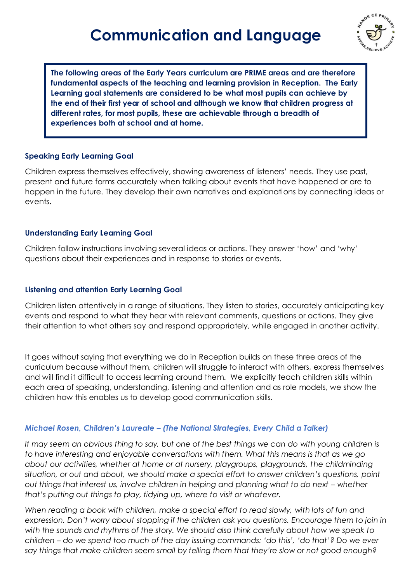# **Communication and Language**



**The following areas of the Early Years curriculum are PRIME areas and are therefore fundamental aspects of the teaching and learning provision in Reception. The Early Learning goal statements are considered to be what most pupils can achieve by the end of their first year of school and although we know that children progress at different rates, for most pupils, these are achievable through a breadth of experiences both at school and at home.**

## **Speaking Early Learning Goal**

Children express themselves effectively, showing awareness of listeners' needs. They use past, present and future forms accurately when talking about events that have happened or are to happen in the future. They develop their own narratives and explanations by connecting ideas or events.

# **Understanding Early Learning Goal**

Children follow instructions involving several ideas or actions. They answer 'how' and 'why' questions about their experiences and in response to stories or events.

## **Listening and attention Early Learning Goal**

Children listen attentively in a range of situations. They listen to stories, accurately anticipating key events and respond to what they hear with relevant comments, questions or actions. They give their attention to what others say and respond appropriately, while engaged in another activity.

It goes without saying that everything we do in Reception builds on these three areas of the curriculum because without them, children will struggle to interact with others, express themselves and will find it difficult to access learning around them. We explicitly teach children skills within each area of speaking, understanding, listening and attention and as role models, we show the children how this enables us to develop good communication skills.

## *Michael Rosen, Children's Laureate – (The National Strategies, Every Child a Talker)*

It may seem an obvious thing to say, but one of the best things we can do with young children is *to have interesting and enjoyable conversations with them. What this means is that as we go about our activities, whether at home or at nursery, playgroups, playgrounds, the childminding situation, or out and about, we should make a special effort to answer children's questions, point out things that interest us, involve children in helping and planning what to do next – whether that's putting out things to play, tidying up, where to visit or whatever.* 

*When reading a book with children, make a special effort to read slowly, with lots of fun and expression. Don't worry about stopping if the children ask you questions. Encourage them to join in with the sounds and rhythms of the story. We should also think carefully about how we speak to children – do we spend too much of the day issuing commands: 'do this', 'do that'? Do we ever say things that make children seem small by telling them that they're slow or not good enough?*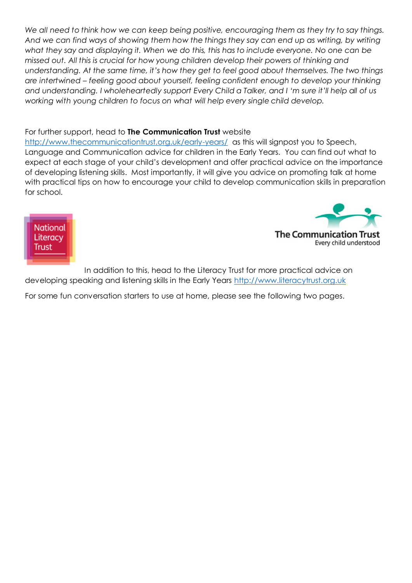*We all need to think how we can keep being positive, encouraging them as they try to say things. And we can find ways of showing them how the things they say can end up as writing, by writing what they say and displaying it. When we do this, this has to include everyone. No one can be missed out. All this is crucial for how young children develop their powers of thinking and understanding. At the same time, it's how they get to feel good about themselves. The two things are intertwined – feeling good about yourself, feeling confident enough to develop your thinking and understanding. I wholeheartedly support Every Child a Talker, and I 'm sure it'll help all of us working with young children to focus on what will help every single child develop.*

#### For further support, head to **The Communication Trust** website

<http://www.thecommunicationtrust.org.uk/early-years/>as this will signpost you to Speech, Language and Communication advice for children in the Early Years. You can find out what to expect at each stage of your child's development and offer practical advice on the importance of developing listening skills. Most importantly, it will give you advice on promoting talk at home with practical tips on how to encourage your child to develop communication skills in preparation for school.



The Communication 1

Every child understood

In addition to this, head to the Literacy Trust for more practical advice on developing speaking and listening skills in the Early Years [http://www.literacytrust.org.uk](http://www.literacytrust.org.uk/)

For some fun conversation starters to use at home, please see the following two pages.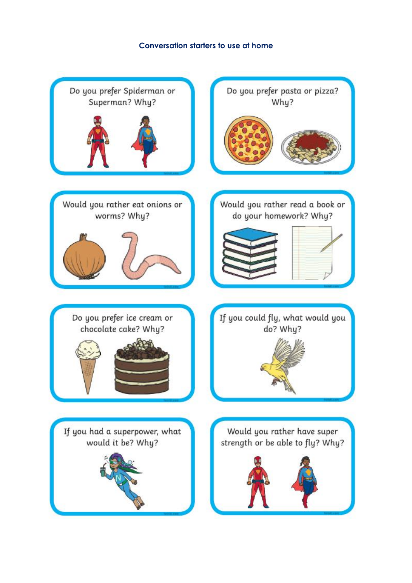#### **Conversation starters to use at home**